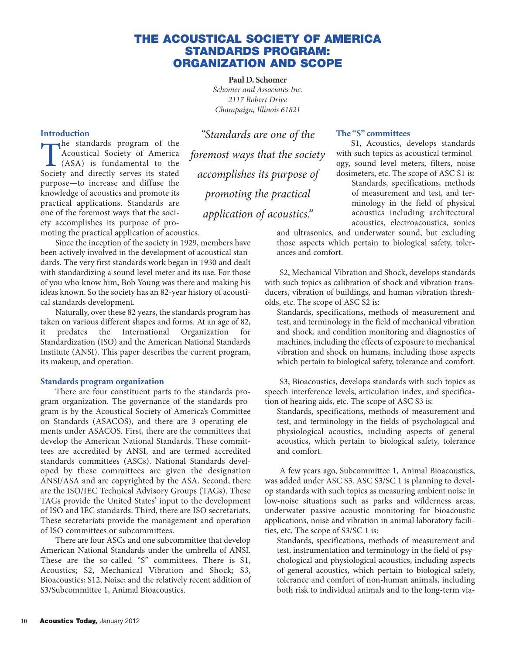# **THE ACOUSTICAL SOCIETY OF AMERICA STANDARDS PROGRAM: ORGANIZATION AND SCOPE**

**Paul D. Schomer** *Schomer and Associates Inc. 2117 Robert Drive Champaign, Illinois 61821*

# *"Standards are one of the foremost ways that the society accomplishes its purpose of promoting the practical*

*application of acoustics."*

# one of the foremost ways that the society accomplishes its purpose of pro-

The standards program of the<br>Acoustical Society of America<br>(ASA) is fundamental to the<br>Society and directly serves its stated Acoustical Society of America

Society and directly serves its stated purpose—to increase and diffuse the knowledge of acoustics and promote its practical applications. Standards are

**Introduction**

moting the practical application of acoustics.

Since the inception of the society in 1929, members have been actively involved in the development of acoustical standards. The very first standards work began in 1930 and dealt with standardizing a sound level meter and its use. For those of you who know him, Bob Young was there and making his ideas known. So the society has an 82-year history of acoustical standards development.

Naturally, over these 82 years, the standards program has taken on various different shapes and forms. At an age of 82, it predates the International Organization for Standardization (ISO) and the American National Standards Institute (ANSI). This paper describes the current program, its makeup, and operation.

# **Standards program organization**

There are four constituent parts to the standards program organization. The governance of the standards program is by the Acoustical Society of America's Committee on Standards (ASACOS), and there are 3 operating elements under ASACOS. First, there are the committees that develop the American National Standards. These committees are accredited by ANSI, and are termed accredited standards committees (ASCs). National Standards developed by these committees are given the designation ANSI/ASA and are copyrighted by the ASA. Second, there are the ISO/IEC Technical Advisory Groups (TAGs). These TAGs provide the United States' input to the development of ISO and IEC standards. Third, there are ISO secretariats. These secretariats provide the management and operation of ISO committees or subcommittees.

There are four ASCs and one subcommittee that develop American National Standards under the umbrella of ANSI. These are the so-called "S" committees. There is S1, Acoustics; S2, Mechanical Vibration and Shock; S3, Bioacoustics; S12, Noise; and the relatively recent addition of S3/Subcommittee 1, Animal Bioacoustics.

# **The "S" committees**

S1, Acoustics, develops standards with such topics as acoustical terminology, sound level meters, filters, noise dosimeters, etc. The scope of ASC S1 is:

Standards, specifications, methods of measurement and test, and terminology in the field of physical acoustics including architectural acoustics, electroacoustics, sonics

and ultrasonics, and underwater sound, but excluding those aspects which pertain to biological safety, tolerances and comfort.

S2, Mechanical Vibration and Shock, develops standards with such topics as calibration of shock and vibration transducers, vibration of buildings, and human vibration thresholds, etc. The scope of ASC S2 is:

Standards, specifications, methods of measurement and test, and terminology in the field of mechanical vibration and shock, and condition monitoring and diagnostics of machines, including the effects of exposure to mechanical vibration and shock on humans, including those aspects which pertain to biological safety, tolerance and comfort.

S3, Bioacoustics, develops standards with such topics as speech interference levels, articulation index, and specification of hearing aids, etc. The scope of ASC S3 is:

Standards, specifications, methods of measurement and test, and terminology in the fields of psychological and physiological acoustics, including aspects of general acoustics, which pertain to biological safety, tolerance and comfort.

A few years ago, Subcommittee 1, Animal Bioacoustics, was added under ASC S3. ASC S3/SC 1 is planning to develop standards with such topics as measuring ambient noise in low-noise situations such as parks and wilderness areas, underwater passive acoustic monitoring for bioacoustic applications, noise and vibration in animal laboratory facilities, etc. The scope of S3/SC 1 is:

Standards, specifications, methods of measurement and test, instrumentation and terminology in the field of psychological and physiological acoustics, including aspects of general acoustics, which pertain to biological safety, tolerance and comfort of non-human animals, including both risk to individual animals and to the long-term via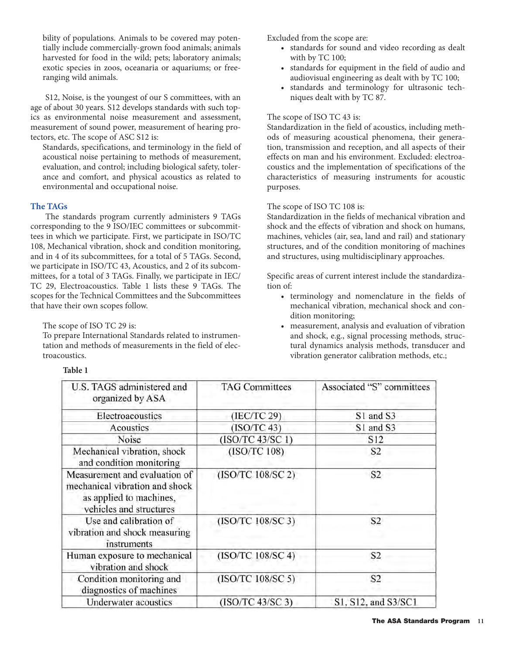bility of populations. Animals to be covered may potentially include commercially-grown food animals; animals harvested for food in the wild; pets; laboratory animals; exotic species in zoos, oceanaria or aquariums; or freeranging wild animals.

S12, Noise, is the youngest of our S committees, with an age of about 30 years. S12 develops standards with such topics as environmental noise measurement and assessment, measurement of sound power, measurement of hearing protectors, etc. The scope of ASC S12 is:

Standards, specifications, and terminology in the field of acoustical noise pertaining to methods of measurement, evaluation, and control; including biological safety, tolerance and comfort, and physical acoustics as related to environmental and occupational noise.

# **The TAGs**

The standards program currently administers 9 TAGs corresponding to the 9 ISO/IEC committees or subcommittees in which we participate. First, we participate in ISO/TC 108, Mechanical vibration, shock and condition monitoring, and in 4 of its subcommittees, for a total of 5 TAGs. Second, we participate in ISO/TC 43, Acoustics, and 2 of its subcommittees, for a total of 3 TAGs. Finally, we participate in IEC/ TC 29, Electroacoustics. Table 1 lists these 9 TAGs. The scopes for the Technical Committees and the Subcommittees that have their own scopes follow.

The scope of ISO TC 29 is:

To prepare International Standards related to instrumentation and methods of measurements in the field of electroacoustics.

| ۰.<br>۰,<br>×<br>. . |  |
|----------------------|--|
|----------------------|--|

Excluded from the scope are:

- standards for sound and video recording as dealt with by TC 100;
- standards for equipment in the field of audio and audiovisual engineering as dealt with by TC 100;
- standards and terminology for ultrasonic techniques dealt with by TC 87.

# The scope of ISO TC 43 is:

Standardization in the field of acoustics, including methods of measuring acoustical phenomena, their generation, transmission and reception, and all aspects of their effects on man and his environment. Excluded: electroacoustics and the implementation of specifications of the characteristics of measuring instruments for acoustic purposes.

# The scope of ISO TC 108 is:

Standardization in the fields of mechanical vibration and shock and the effects of vibration and shock on humans, machines, vehicles (air, sea, land and rail) and stationary structures, and of the condition monitoring of machines and structures, using multidisciplinary approaches.

Specific areas of current interest include the standardization of:

- terminology and nomenclature in the fields of mechanical vibration, mechanical shock and condition monitoring;
- measurement, analysis and evaluation of vibration and shock, e.g., signal processing methods, structural dynamics analysis methods, transducer and vibration generator calibration methods, etc.;

| U.S. TAGS administered and<br>organized by ASA                                                                        | <b>TAG Committees</b> | Associated "S" committees |
|-----------------------------------------------------------------------------------------------------------------------|-----------------------|---------------------------|
| Electroacoustics                                                                                                      | (IEC/TC 29)           | S1 and S3                 |
| Acoustics                                                                                                             | (ISO/TC 43)           | S1 and S3                 |
| Noise                                                                                                                 | (ISO/TC 43/SC 1)      | S <sub>12</sub>           |
| Mechanical vibration, shock<br>and condition monitoring                                                               | (ISO/TC 108)          | S <sub>2</sub>            |
| Measurement and evaluation of<br>mechanical vibration and shock<br>as applied to machines,<br>vehicles and structures | (ISO/TC 108/SC 2)     | S <sub>2</sub>            |
| Use and calibration of<br>vibration and shock measuring<br>instruments                                                | (ISO/TC 108/SC 3)     | S <sub>2</sub>            |
| Human exposure to mechanical<br>vibration and shock                                                                   | (ISO/TC 108/SC 4)     | S <sub>2</sub>            |
| Condition monitoring and<br>diagnostics of machines                                                                   | (ISO/TC 108/SC 5)     | S <sub>2</sub>            |
| Underwater acoustics                                                                                                  | (ISO/TC 43/SC 3)      | S1, S12, and S3/SC1       |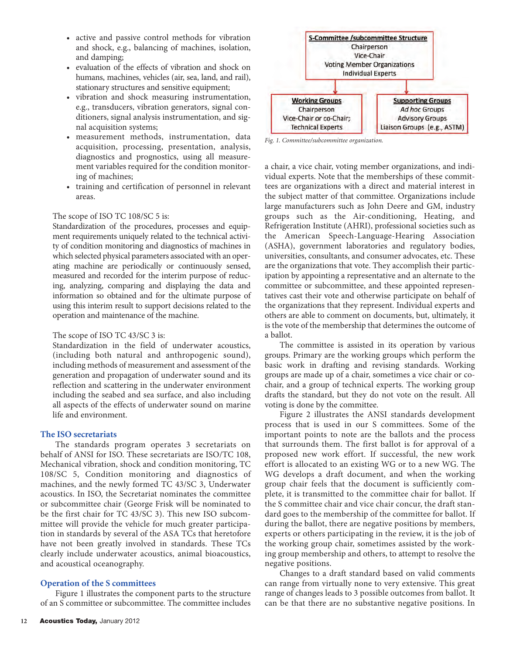- active and passive control methods for vibration and shock, e.g., balancing of machines, isolation, and damping;
- evaluation of the effects of vibration and shock on humans, machines, vehicles (air, sea, land, and rail), stationary structures and sensitive equipment;
- vibration and shock measuring instrumentation, e.g., transducers, vibration generators, signal conditioners, signal analysis instrumentation, and signal acquisition systems;
- measurement methods, instrumentation, data acquisition, processing, presentation, analysis, diagnostics and prognostics, using all measurement variables required for the condition monitoring of machines;
- training and certification of personnel in relevant areas.

# The scope of ISO TC 108/SC 5 is:

Standardization of the procedures, processes and equipment requirements uniquely related to the technical activity of condition monitoring and diagnostics of machines in which selected physical parameters associated with an operating machine are periodically or continuously sensed, measured and recorded for the interim purpose of reducing, analyzing, comparing and displaying the data and information so obtained and for the ultimate purpose of using this interim result to support decisions related to the operation and maintenance of the machine.

### The scope of ISO TC 43/SC 3 is:

Standardization in the field of underwater acoustics, (including both natural and anthropogenic sound), including methods of measurement and assessment of the generation and propagation of underwater sound and its reflection and scattering in the underwater environment including the seabed and sea surface, and also including all aspects of the effects of underwater sound on marine life and environment.

# **The ISO secretariats**

The standards program operates 3 secretariats on behalf of ANSI for ISO. These secretariats are ISO/TC 108, Mechanical vibration, shock and condition monitoring, TC 108/SC 5, Condition monitoring and diagnostics of machines, and the newly formed TC 43/SC 3, Underwater acoustics. In ISO, the Secretariat nominates the committee or subcommittee chair (George Frisk will be nominated to be the first chair for TC 43/SC 3). This new ISO subcommittee will provide the vehicle for much greater participation in standards by several of the ASA TCs that heretofore have not been greatly involved in standards. These TCs clearly include underwater acoustics, animal bioacoustics, and acoustical oceanography.

# **Operation of the S committees**

Figure 1 illustrates the component parts to the structure of an S committee or subcommittee. The committee includes



*Fig. 1. Committee/subcommittee organization.*

a chair, a vice chair, voting member organizations, and individual experts. Note that the memberships of these committees are organizations with a direct and material interest in the subject matter of that committee. Organizations include large manufacturers such as John Deere and GM, industry groups such as the Air-conditioning, Heating, and Refrigeration Institute (AHRI), professional societies such as the American Speech-Language-Hearing Association (ASHA), government laboratories and regulatory bodies, universities, consultants, and consumer advocates, etc. These are the organizations that vote. They accomplish their participation by appointing a representative and an alternate to the committee or subcommittee, and these appointed representatives cast their vote and otherwise participate on behalf of the organizations that they represent. Individual experts and others are able to comment on documents, but, ultimately, it is the vote of the membership that determines the outcome of a ballot.

The committee is assisted in its operation by various groups. Primary are the working groups which perform the basic work in drafting and revising standards. Working groups are made up of a chair, sometimes a vice chair or cochair, and a group of technical experts. The working group drafts the standard, but they do not vote on the result. All voting is done by the committee.

Figure 2 illustrates the ANSI standards development process that is used in our S committees. Some of the important points to note are the ballots and the process that surrounds them. The first ballot is for approval of a proposed new work effort. If successful, the new work effort is allocated to an existing WG or to a new WG. The WG develops a draft document, and when the working group chair feels that the document is sufficiently complete, it is transmitted to the committee chair for ballot. If the S committee chair and vice chair concur, the draft standard goes to the membership of the committee for ballot. If during the ballot, there are negative positions by members, experts or others participating in the review, it is the job of the working group chair, sometimes assisted by the working group membership and others, to attempt to resolve the negative positions.

Changes to a draft standard based on valid comments can range from virtually none to very extensive. This great range of changes leads to 3 possible outcomes from ballot. It can be that there are no substantive negative positions. In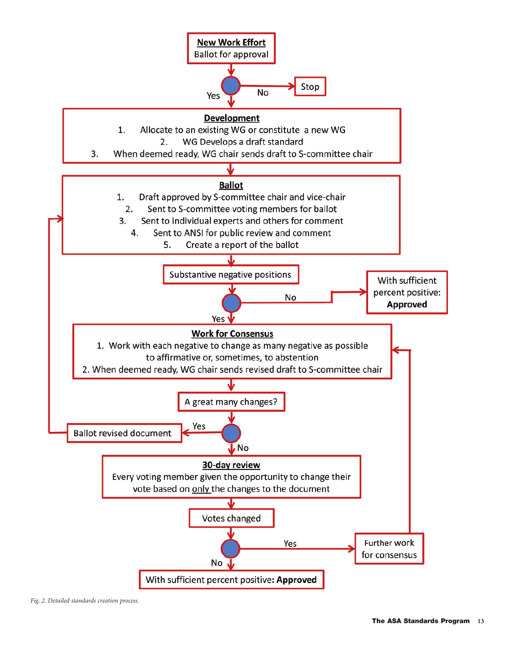